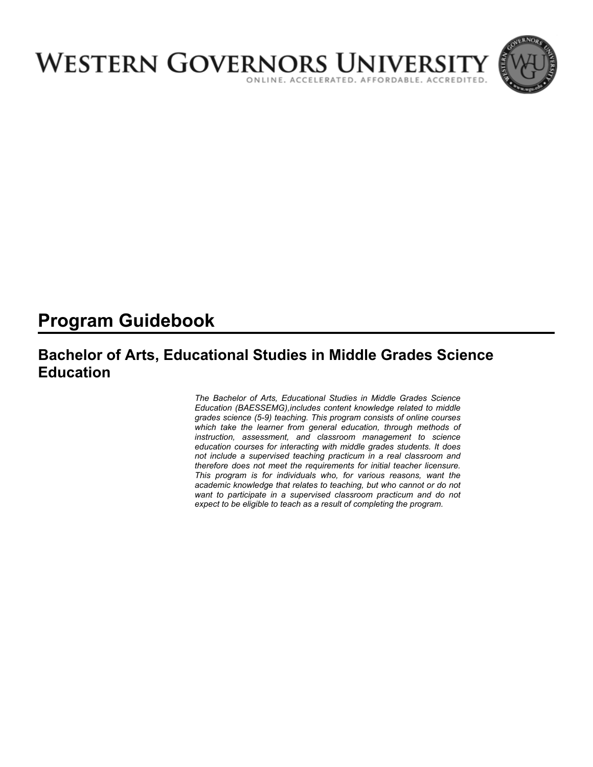

# **Program Guidebook**

# **Bachelor of Arts, Educational Studies in Middle Grades Science Education**

*The Bachelor of Arts, Educational Studies in Middle Grades Science Education (BAESSEMG),includes content knowledge related to middle grades science (5-9) teaching. This program consists of online courses which take the learner from general education, through methods of instruction, assessment, and classroom management to science education courses for interacting with middle grades students. It does not include a supervised teaching practicum in a real classroom and therefore does not meet the requirements for initial teacher licensure. This program is for individuals who, for various reasons, want the academic knowledge that relates to teaching, but who cannot or do not want to participate in a supervised classroom practicum and do not expect to be eligible to teach as a result of completing the program.*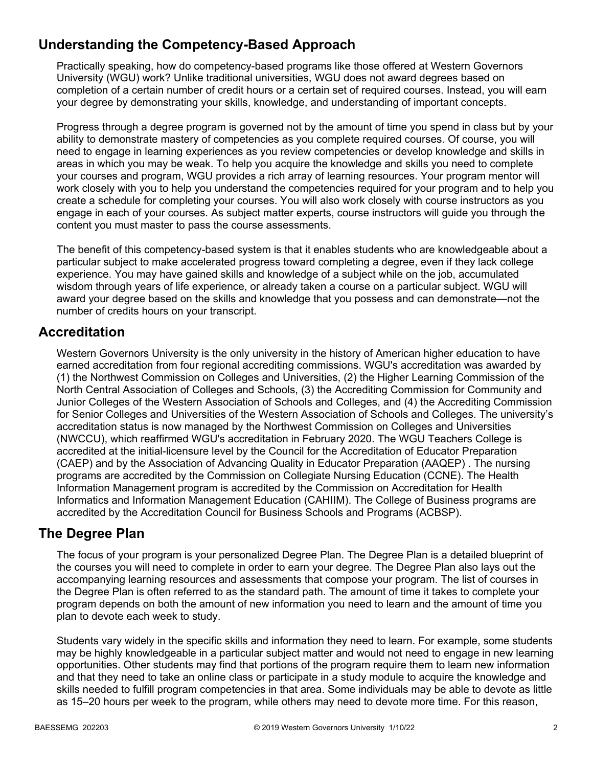# **Understanding the Competency-Based Approach**

Practically speaking, how do competency-based programs like those offered at Western Governors University (WGU) work? Unlike traditional universities, WGU does not award degrees based on completion of a certain number of credit hours or a certain set of required courses. Instead, you will earn your degree by demonstrating your skills, knowledge, and understanding of important concepts.

Progress through a degree program is governed not by the amount of time you spend in class but by your ability to demonstrate mastery of competencies as you complete required courses. Of course, you will need to engage in learning experiences as you review competencies or develop knowledge and skills in areas in which you may be weak. To help you acquire the knowledge and skills you need to complete your courses and program, WGU provides a rich array of learning resources. Your program mentor will work closely with you to help you understand the competencies required for your program and to help you create a schedule for completing your courses. You will also work closely with course instructors as you engage in each of your courses. As subject matter experts, course instructors will guide you through the content you must master to pass the course assessments.

The benefit of this competency-based system is that it enables students who are knowledgeable about a particular subject to make accelerated progress toward completing a degree, even if they lack college experience. You may have gained skills and knowledge of a subject while on the job, accumulated wisdom through years of life experience, or already taken a course on a particular subject. WGU will award your degree based on the skills and knowledge that you possess and can demonstrate—not the number of credits hours on your transcript.

### **Accreditation**

Western Governors University is the only university in the history of American higher education to have earned accreditation from four regional accrediting commissions. WGU's accreditation was awarded by (1) the Northwest Commission on Colleges and Universities, (2) the Higher Learning Commission of the North Central Association of Colleges and Schools, (3) the Accrediting Commission for Community and Junior Colleges of the Western Association of Schools and Colleges, and (4) the Accrediting Commission for Senior Colleges and Universities of the Western Association of Schools and Colleges. The university's accreditation status is now managed by the Northwest Commission on Colleges and Universities (NWCCU), which reaffirmed WGU's accreditation in February 2020. The WGU Teachers College is accredited at the initial-licensure level by the Council for the Accreditation of Educator Preparation (CAEP) and by the Association of Advancing Quality in Educator Preparation (AAQEP) . The nursing programs are accredited by the Commission on Collegiate Nursing Education (CCNE). The Health Information Management program is accredited by the Commission on Accreditation for Health Informatics and Information Management Education (CAHIIM). The College of Business programs are accredited by the Accreditation Council for Business Schools and Programs (ACBSP).

### **The Degree Plan**

The focus of your program is your personalized Degree Plan. The Degree Plan is a detailed blueprint of the courses you will need to complete in order to earn your degree. The Degree Plan also lays out the accompanying learning resources and assessments that compose your program. The list of courses in the Degree Plan is often referred to as the standard path. The amount of time it takes to complete your program depends on both the amount of new information you need to learn and the amount of time you plan to devote each week to study.

Students vary widely in the specific skills and information they need to learn. For example, some students may be highly knowledgeable in a particular subject matter and would not need to engage in new learning opportunities. Other students may find that portions of the program require them to learn new information and that they need to take an online class or participate in a study module to acquire the knowledge and skills needed to fulfill program competencies in that area. Some individuals may be able to devote as little as 15–20 hours per week to the program, while others may need to devote more time. For this reason,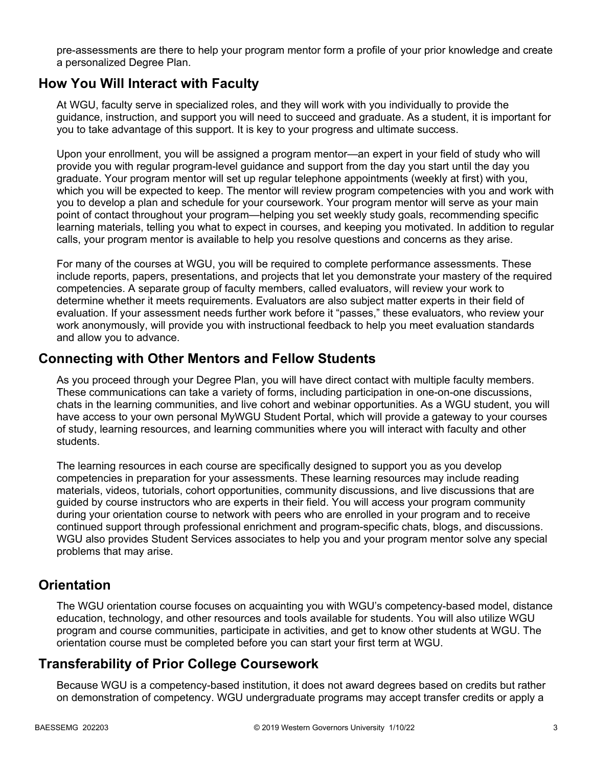pre-assessments are there to help your program mentor form a profile of your prior knowledge and create a personalized Degree Plan.

### **How You Will Interact with Faculty**

At WGU, faculty serve in specialized roles, and they will work with you individually to provide the guidance, instruction, and support you will need to succeed and graduate. As a student, it is important for you to take advantage of this support. It is key to your progress and ultimate success.

Upon your enrollment, you will be assigned a program mentor—an expert in your field of study who will provide you with regular program-level guidance and support from the day you start until the day you graduate. Your program mentor will set up regular telephone appointments (weekly at first) with you, which you will be expected to keep. The mentor will review program competencies with you and work with you to develop a plan and schedule for your coursework. Your program mentor will serve as your main point of contact throughout your program—helping you set weekly study goals, recommending specific learning materials, telling you what to expect in courses, and keeping you motivated. In addition to regular calls, your program mentor is available to help you resolve questions and concerns as they arise.

For many of the courses at WGU, you will be required to complete performance assessments. These include reports, papers, presentations, and projects that let you demonstrate your mastery of the required competencies. A separate group of faculty members, called evaluators, will review your work to determine whether it meets requirements. Evaluators are also subject matter experts in their field of evaluation. If your assessment needs further work before it "passes," these evaluators, who review your work anonymously, will provide you with instructional feedback to help you meet evaluation standards and allow you to advance.

### **Connecting with Other Mentors and Fellow Students**

As you proceed through your Degree Plan, you will have direct contact with multiple faculty members. These communications can take a variety of forms, including participation in one-on-one discussions, chats in the learning communities, and live cohort and webinar opportunities. As a WGU student, you will have access to your own personal MyWGU Student Portal, which will provide a gateway to your courses of study, learning resources, and learning communities where you will interact with faculty and other students.

The learning resources in each course are specifically designed to support you as you develop competencies in preparation for your assessments. These learning resources may include reading materials, videos, tutorials, cohort opportunities, community discussions, and live discussions that are guided by course instructors who are experts in their field. You will access your program community during your orientation course to network with peers who are enrolled in your program and to receive continued support through professional enrichment and program-specific chats, blogs, and discussions. WGU also provides Student Services associates to help you and your program mentor solve any special problems that may arise.

### **Orientation**

The WGU orientation course focuses on acquainting you with WGU's competency-based model, distance education, technology, and other resources and tools available for students. You will also utilize WGU program and course communities, participate in activities, and get to know other students at WGU. The orientation course must be completed before you can start your first term at WGU.

### **Transferability of Prior College Coursework**

Because WGU is a competency-based institution, it does not award degrees based on credits but rather on demonstration of competency. WGU undergraduate programs may accept transfer credits or apply a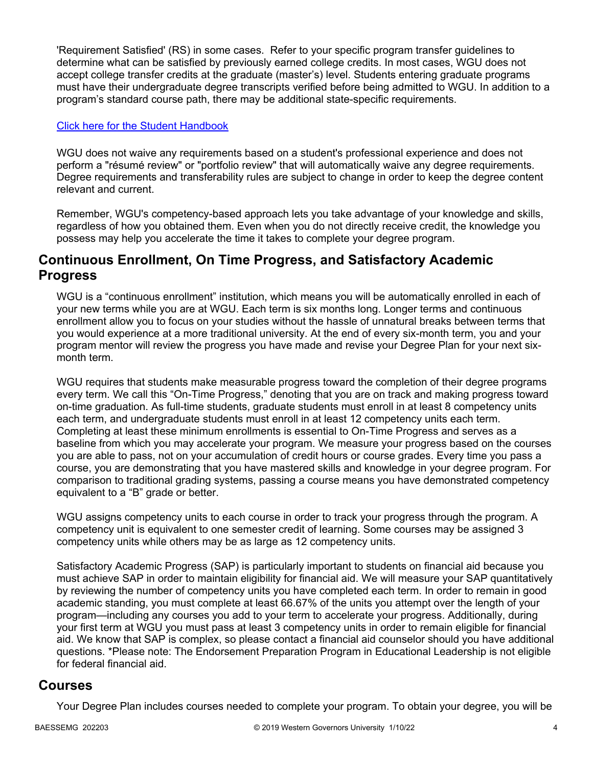'Requirement Satisfied' (RS) in some cases. Refer to your specific program transfer guidelines to determine what can be satisfied by previously earned college credits. In most cases, WGU does not accept college transfer credits at the graduate (master's) level. Students entering graduate programs must have their undergraduate degree transcripts verified before being admitted to WGU. In addition to a program's standard course path, there may be additional state-specific requirements.

### [Click here for the Student Handbook](http://cm.wgu.edu/)

WGU does not waive any requirements based on a student's professional experience and does not perform a "résumé review" or "portfolio review" that will automatically waive any degree requirements. Degree requirements and transferability rules are subject to change in order to keep the degree content relevant and current.

Remember, WGU's competency-based approach lets you take advantage of your knowledge and skills, regardless of how you obtained them. Even when you do not directly receive credit, the knowledge you possess may help you accelerate the time it takes to complete your degree program.

### **Continuous Enrollment, On Time Progress, and Satisfactory Academic Progress**

WGU is a "continuous enrollment" institution, which means you will be automatically enrolled in each of your new terms while you are at WGU. Each term is six months long. Longer terms and continuous enrollment allow you to focus on your studies without the hassle of unnatural breaks between terms that you would experience at a more traditional university. At the end of every six-month term, you and your program mentor will review the progress you have made and revise your Degree Plan for your next sixmonth term.

WGU requires that students make measurable progress toward the completion of their degree programs every term. We call this "On-Time Progress," denoting that you are on track and making progress toward on-time graduation. As full-time students, graduate students must enroll in at least 8 competency units each term, and undergraduate students must enroll in at least 12 competency units each term. Completing at least these minimum enrollments is essential to On-Time Progress and serves as a baseline from which you may accelerate your program. We measure your progress based on the courses you are able to pass, not on your accumulation of credit hours or course grades. Every time you pass a course, you are demonstrating that you have mastered skills and knowledge in your degree program. For comparison to traditional grading systems, passing a course means you have demonstrated competency equivalent to a "B" grade or better.

WGU assigns competency units to each course in order to track your progress through the program. A competency unit is equivalent to one semester credit of learning. Some courses may be assigned 3 competency units while others may be as large as 12 competency units.

Satisfactory Academic Progress (SAP) is particularly important to students on financial aid because you must achieve SAP in order to maintain eligibility for financial aid. We will measure your SAP quantitatively by reviewing the number of competency units you have completed each term. In order to remain in good academic standing, you must complete at least 66.67% of the units you attempt over the length of your program—including any courses you add to your term to accelerate your progress. Additionally, during your first term at WGU you must pass at least 3 competency units in order to remain eligible for financial aid. We know that SAP is complex, so please contact a financial aid counselor should you have additional questions. \*Please note: The Endorsement Preparation Program in Educational Leadership is not eligible for federal financial aid.

### **Courses**

Your Degree Plan includes courses needed to complete your program. To obtain your degree, you will be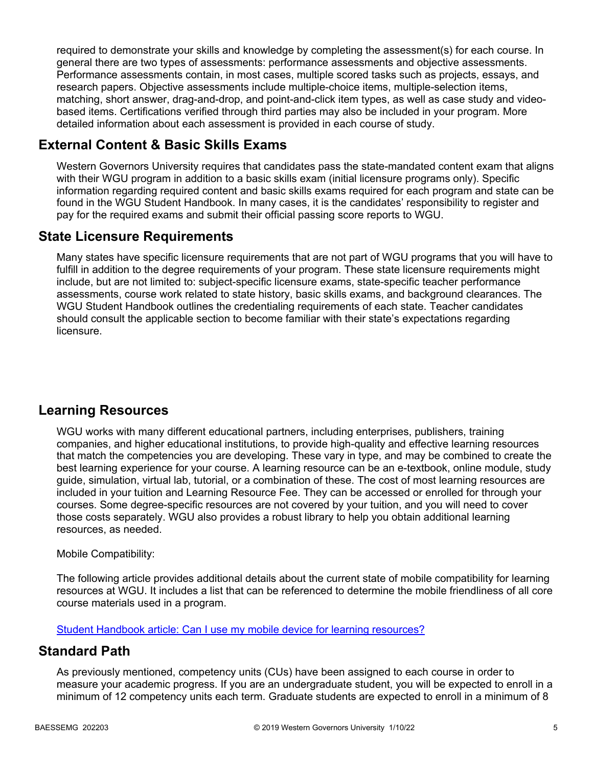required to demonstrate your skills and knowledge by completing the assessment(s) for each course. In general there are two types of assessments: performance assessments and objective assessments. Performance assessments contain, in most cases, multiple scored tasks such as projects, essays, and research papers. Objective assessments include multiple-choice items, multiple-selection items, matching, short answer, drag-and-drop, and point-and-click item types, as well as case study and videobased items. Certifications verified through third parties may also be included in your program. More detailed information about each assessment is provided in each course of study.

## **External Content & Basic Skills Exams**

Western Governors University requires that candidates pass the state-mandated content exam that aligns with their WGU program in addition to a basic skills exam (initial licensure programs only). Specific information regarding required content and basic skills exams required for each program and state can be found in the WGU Student Handbook. In many cases, it is the candidates' responsibility to register and pay for the required exams and submit their official passing score reports to WGU.

### **State Licensure Requirements**

Many states have specific licensure requirements that are not part of WGU programs that you will have to fulfill in addition to the degree requirements of your program. These state licensure requirements might include, but are not limited to: subject-specific licensure exams, state-specific teacher performance assessments, course work related to state history, basic skills exams, and background clearances. The WGU Student Handbook outlines the credentialing requirements of each state. Teacher candidates should consult the applicable section to become familiar with their state's expectations regarding licensure.

## **Learning Resources**

WGU works with many different educational partners, including enterprises, publishers, training companies, and higher educational institutions, to provide high-quality and effective learning resources that match the competencies you are developing. These vary in type, and may be combined to create the best learning experience for your course. A learning resource can be an e-textbook, online module, study guide, simulation, virtual lab, tutorial, or a combination of these. The cost of most learning resources are included in your tuition and Learning Resource Fee. They can be accessed or enrolled for through your courses. Some degree-specific resources are not covered by your tuition, and you will need to cover those costs separately. WGU also provides a robust library to help you obtain additional learning resources, as needed.

### Mobile Compatibility:

The following article provides additional details about the current state of mobile compatibility for learning resources at WGU. It includes a list that can be referenced to determine the mobile friendliness of all core course materials used in a program.

[Student Handbook article: Can I use my mobile device for learning resources?](https://cm.wgu.edu/t5/Frequently-Asked-Questions/Can-I-use-my-mobile-device-for-learning-resources/ta-p/396)

### **Standard Path**

As previously mentioned, competency units (CUs) have been assigned to each course in order to measure your academic progress. If you are an undergraduate student, you will be expected to enroll in a minimum of 12 competency units each term. Graduate students are expected to enroll in a minimum of 8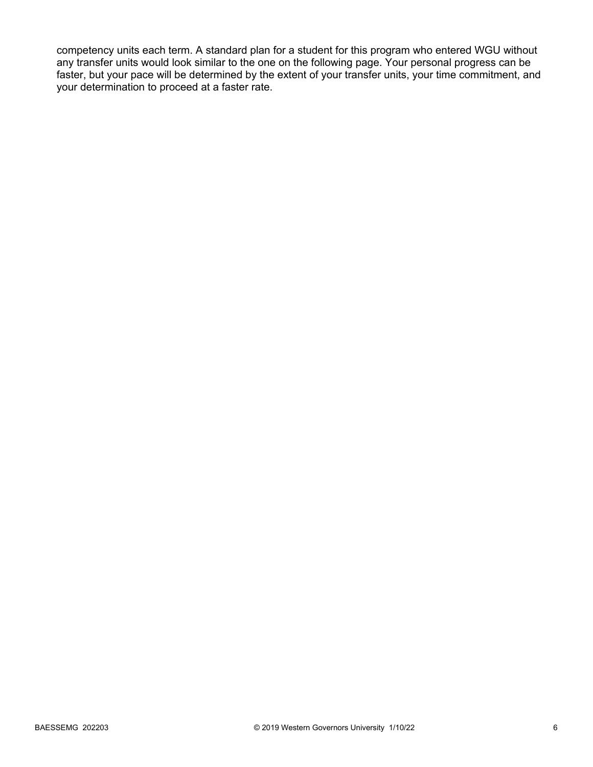competency units each term. A standard plan for a student for this program who entered WGU without any transfer units would look similar to the one on the following page. Your personal progress can be faster, but your pace will be determined by the extent of your transfer units, your time commitment, and your determination to proceed at a faster rate.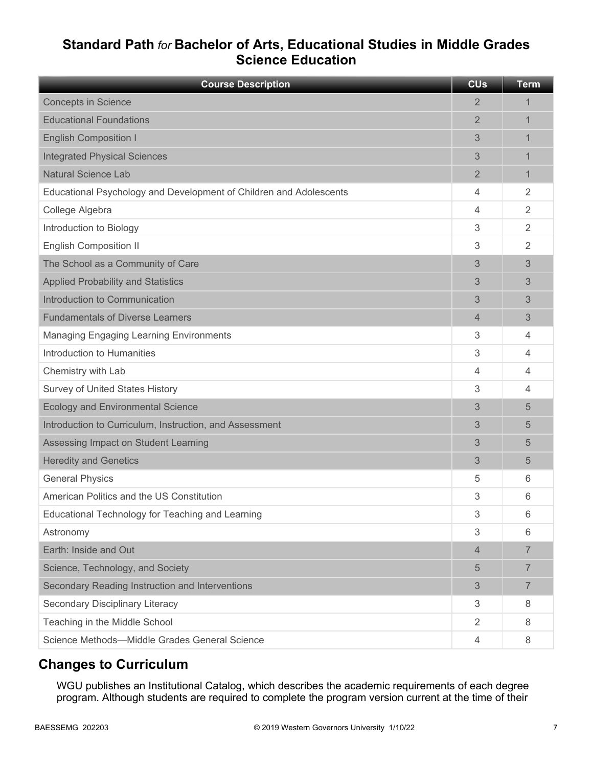# **Standard Path** *for* **Bachelor of Arts, Educational Studies in Middle Grades Science Education**

| <b>Course Description</b>                                          | <b>CU<sub>s</sub></b> | <b>Term</b>    |
|--------------------------------------------------------------------|-----------------------|----------------|
| <b>Concepts in Science</b>                                         | 2                     | 1              |
| <b>Educational Foundations</b>                                     | $\overline{2}$        | 1              |
| <b>English Composition I</b>                                       | 3                     | 1              |
| <b>Integrated Physical Sciences</b>                                | 3                     |                |
| <b>Natural Science Lab</b>                                         | 2                     | 1              |
| Educational Psychology and Development of Children and Adolescents | 4                     | 2              |
| College Algebra                                                    | 4                     | 2              |
| Introduction to Biology                                            | 3                     | 2              |
| <b>English Composition II</b>                                      | 3                     | 2              |
| The School as a Community of Care                                  | 3                     | 3              |
| <b>Applied Probability and Statistics</b>                          | 3                     | 3              |
| Introduction to Communication                                      | 3                     | 3              |
| <b>Fundamentals of Diverse Learners</b>                            | $\overline{4}$        | 3              |
| <b>Managing Engaging Learning Environments</b>                     | 3                     | 4              |
| Introduction to Humanities                                         | 3                     | 4              |
| Chemistry with Lab                                                 | 4                     | 4              |
| Survey of United States History                                    | 3                     | 4              |
| <b>Ecology and Environmental Science</b>                           | 3                     | 5              |
| Introduction to Curriculum, Instruction, and Assessment            | 3                     | 5              |
| Assessing Impact on Student Learning                               | 3                     | 5              |
| <b>Heredity and Genetics</b>                                       | 3                     | 5              |
| <b>General Physics</b>                                             | 5                     | 6              |
| American Politics and the US Constitution                          | 3                     | 6              |
| Educational Technology for Teaching and Learning                   | 3                     | 6              |
| Astronomy                                                          | 3                     | 6              |
| Earth: Inside and Out                                              | 4                     | $\overline{7}$ |
| Science, Technology, and Society                                   | 5                     | $\overline{7}$ |
| Secondary Reading Instruction and Interventions                    | 3                     | $\overline{7}$ |
| Secondary Disciplinary Literacy                                    | 3                     | 8              |
| Teaching in the Middle School                                      | $\overline{2}$        | 8              |
| Science Methods-Middle Grades General Science                      | 4                     | 8              |

## **Changes to Curriculum**

WGU publishes an Institutional Catalog, which describes the academic requirements of each degree program. Although students are required to complete the program version current at the time of their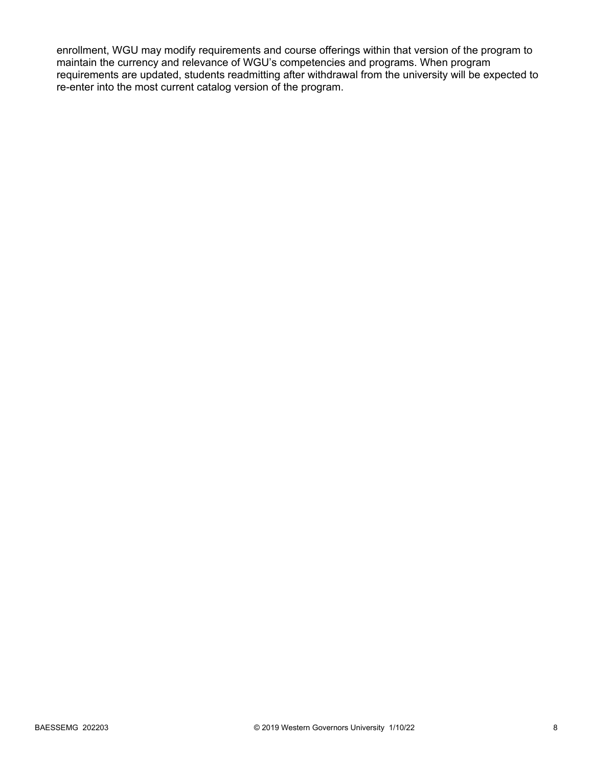enrollment, WGU may modify requirements and course offerings within that version of the program to maintain the currency and relevance of WGU's competencies and programs. When program requirements are updated, students readmitting after withdrawal from the university will be expected to re-enter into the most current catalog version of the program.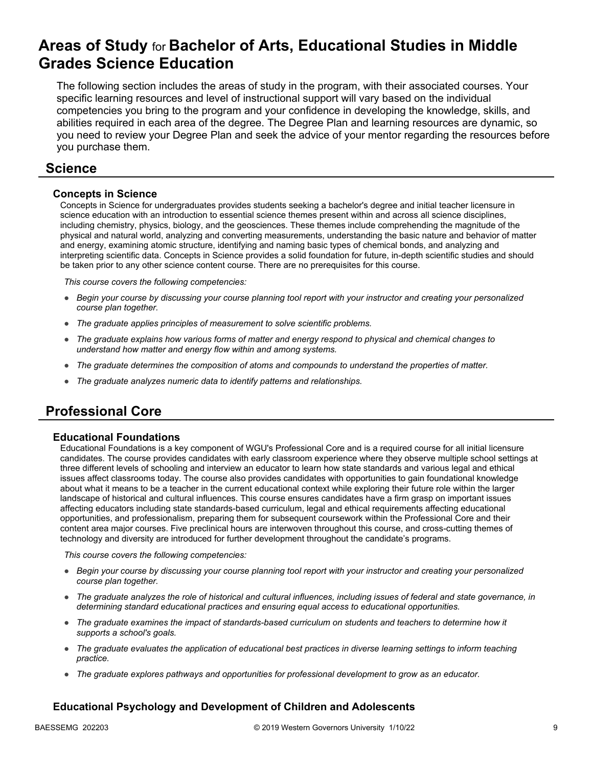# **Areas of Study** for **Bachelor of Arts, Educational Studies in Middle Grades Science Education**

The following section includes the areas of study in the program, with their associated courses. Your specific learning resources and level of instructional support will vary based on the individual competencies you bring to the program and your confidence in developing the knowledge, skills, and abilities required in each area of the degree. The Degree Plan and learning resources are dynamic, so you need to review your Degree Plan and seek the advice of your mentor regarding the resources before you purchase them.

### **Science**

### **Concepts in Science**

Concepts in Science for undergraduates provides students seeking a bachelor's degree and initial teacher licensure in science education with an introduction to essential science themes present within and across all science disciplines, including chemistry, physics, biology, and the geosciences. These themes include comprehending the magnitude of the physical and natural world, analyzing and converting measurements, understanding the basic nature and behavior of matter and energy, examining atomic structure, identifying and naming basic types of chemical bonds, and analyzing and interpreting scientific data. Concepts in Science provides a solid foundation for future, in-depth scientific studies and should be taken prior to any other science content course. There are no prerequisites for this course.

*This course covers the following competencies:*

- *Begin your course by discussing your course planning tool report with your instructor and creating your personalized course plan together.*
- *The graduate applies principles of measurement to solve scientific problems.*
- *The graduate explains how various forms of matter and energy respond to physical and chemical changes to understand how matter and energy flow within and among systems.*
- *The graduate determines the composition of atoms and compounds to understand the properties of matter.*
- *The graduate analyzes numeric data to identify patterns and relationships.*

# **Professional Core**

#### **Educational Foundations**

Educational Foundations is a key component of WGU's Professional Core and is a required course for all initial licensure candidates. The course provides candidates with early classroom experience where they observe multiple school settings at three different levels of schooling and interview an educator to learn how state standards and various legal and ethical issues affect classrooms today. The course also provides candidates with opportunities to gain foundational knowledge about what it means to be a teacher in the current educational context while exploring their future role within the larger landscape of historical and cultural influences. This course ensures candidates have a firm grasp on important issues affecting educators including state standards-based curriculum, legal and ethical requirements affecting educational opportunities, and professionalism, preparing them for subsequent coursework within the Professional Core and their content area major courses. Five preclinical hours are interwoven throughout this course, and cross-cutting themes of technology and diversity are introduced for further development throughout the candidate's programs.

*This course covers the following competencies:*

- *Begin your course by discussing your course planning tool report with your instructor and creating your personalized course plan together.*
- *The graduate analyzes the role of historical and cultural influences, including issues of federal and state governance, in determining standard educational practices and ensuring equal access to educational opportunities.*
- *The graduate examines the impact of standards-based curriculum on students and teachers to determine how it supports a school's goals.*
- *The graduate evaluates the application of educational best practices in diverse learning settings to inform teaching practice.*
- *The graduate explores pathways and opportunities for professional development to grow as an educator.*

### **Educational Psychology and Development of Children and Adolescents**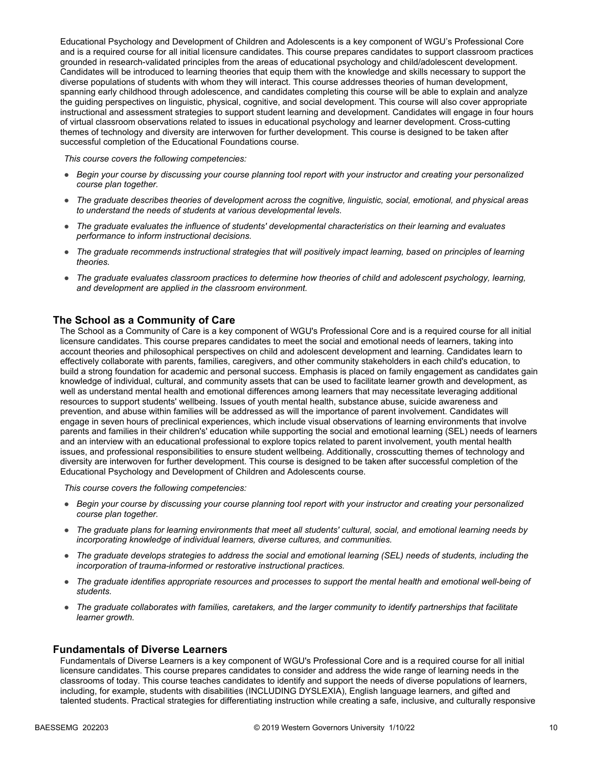Educational Psychology and Development of Children and Adolescents is a key component of WGU's Professional Core and is a required course for all initial licensure candidates. This course prepares candidates to support classroom practices grounded in research-validated principles from the areas of educational psychology and child/adolescent development. Candidates will be introduced to learning theories that equip them with the knowledge and skills necessary to support the diverse populations of students with whom they will interact. This course addresses theories of human development, spanning early childhood through adolescence, and candidates completing this course will be able to explain and analyze the guiding perspectives on linguistic, physical, cognitive, and social development. This course will also cover appropriate instructional and assessment strategies to support student learning and development. Candidates will engage in four hours of virtual classroom observations related to issues in educational psychology and learner development. Cross-cutting themes of technology and diversity are interwoven for further development. This course is designed to be taken after successful completion of the Educational Foundations course.

*This course covers the following competencies:*

- *Begin your course by discussing your course planning tool report with your instructor and creating your personalized course plan together.*
- *The graduate describes theories of development across the cognitive, linguistic, social, emotional, and physical areas to understand the needs of students at various developmental levels.*
- *The graduate evaluates the influence of students' developmental characteristics on their learning and evaluates performance to inform instructional decisions.*
- *The graduate recommends instructional strategies that will positively impact learning, based on principles of learning theories.*
- *The graduate evaluates classroom practices to determine how theories of child and adolescent psychology, learning, and development are applied in the classroom environment.*

#### **The School as a Community of Care**

The School as a Community of Care is a key component of WGU's Professional Core and is a required course for all initial licensure candidates. This course prepares candidates to meet the social and emotional needs of learners, taking into account theories and philosophical perspectives on child and adolescent development and learning. Candidates learn to effectively collaborate with parents, families, caregivers, and other community stakeholders in each child's education, to build a strong foundation for academic and personal success. Emphasis is placed on family engagement as candidates gain knowledge of individual, cultural, and community assets that can be used to facilitate learner growth and development, as well as understand mental health and emotional differences among learners that may necessitate leveraging additional resources to support students' wellbeing. Issues of youth mental health, substance abuse, suicide awareness and prevention, and abuse within families will be addressed as will the importance of parent involvement. Candidates will engage in seven hours of preclinical experiences, which include visual observations of learning environments that involve parents and families in their children's' education while supporting the social and emotional learning (SEL) needs of learners and an interview with an educational professional to explore topics related to parent involvement, youth mental health issues, and professional responsibilities to ensure student wellbeing. Additionally, crosscutting themes of technology and diversity are interwoven for further development. This course is designed to be taken after successful completion of the Educational Psychology and Development of Children and Adolescents course.

*This course covers the following competencies:*

- *Begin your course by discussing your course planning tool report with your instructor and creating your personalized course plan together.*
- *The graduate plans for learning environments that meet all students' cultural, social, and emotional learning needs by incorporating knowledge of individual learners, diverse cultures, and communities.*
- *The graduate develops strategies to address the social and emotional learning (SEL) needs of students, including the incorporation of trauma-informed or restorative instructional practices.*
- *The graduate identifies appropriate resources and processes to support the mental health and emotional well-being of students.*
- *The graduate collaborates with families, caretakers, and the larger community to identify partnerships that facilitate learner growth.*

#### **Fundamentals of Diverse Learners**

Fundamentals of Diverse Learners is a key component of WGU's Professional Core and is a required course for all initial licensure candidates. This course prepares candidates to consider and address the wide range of learning needs in the classrooms of today. This course teaches candidates to identify and support the needs of diverse populations of learners, including, for example, students with disabilities (INCLUDING DYSLEXIA), English language learners, and gifted and talented students. Practical strategies for differentiating instruction while creating a safe, inclusive, and culturally responsive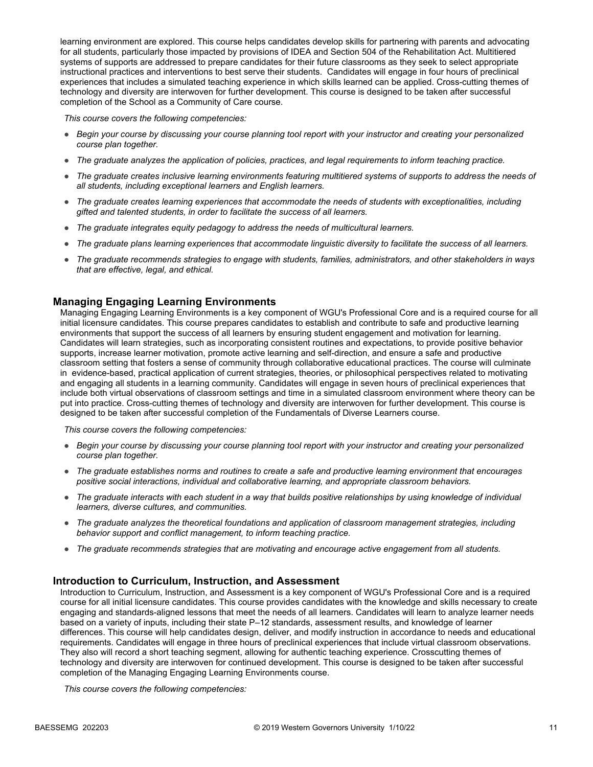learning environment are explored. This course helps candidates develop skills for partnering with parents and advocating for all students, particularly those impacted by provisions of IDEA and Section 504 of the Rehabilitation Act. Multitiered systems of supports are addressed to prepare candidates for their future classrooms as they seek to select appropriate instructional practices and interventions to best serve their students. Candidates will engage in four hours of preclinical experiences that includes a simulated teaching experience in which skills learned can be applied. Cross-cutting themes of technology and diversity are interwoven for further development. This course is designed to be taken after successful completion of the School as a Community of Care course.

*This course covers the following competencies:*

- *Begin your course by discussing your course planning tool report with your instructor and creating your personalized course plan together.*
- *The graduate analyzes the application of policies, practices, and legal requirements to inform teaching practice.*
- *The graduate creates inclusive learning environments featuring multitiered systems of supports to address the needs of all students, including exceptional learners and English learners.*
- *The graduate creates learning experiences that accommodate the needs of students with exceptionalities, including gifted and talented students, in order to facilitate the success of all learners.*
- *The graduate integrates equity pedagogy to address the needs of multicultural learners.*
- *The graduate plans learning experiences that accommodate linguistic diversity to facilitate the success of all learners.*
- *The graduate recommends strategies to engage with students, families, administrators, and other stakeholders in ways that are effective, legal, and ethical.*

#### **Managing Engaging Learning Environments**

Managing Engaging Learning Environments is a key component of WGU's Professional Core and is a required course for all initial licensure candidates. This course prepares candidates to establish and contribute to safe and productive learning environments that support the success of all learners by ensuring student engagement and motivation for learning. Candidates will learn strategies, such as incorporating consistent routines and expectations, to provide positive behavior supports, increase learner motivation, promote active learning and self-direction, and ensure a safe and productive classroom setting that fosters a sense of community through collaborative educational practices. The course will culminate in evidence-based, practical application of current strategies, theories, or philosophical perspectives related to motivating and engaging all students in a learning community. Candidates will engage in seven hours of preclinical experiences that include both virtual observations of classroom settings and time in a simulated classroom environment where theory can be put into practice. Cross-cutting themes of technology and diversity are interwoven for further development. This course is designed to be taken after successful completion of the Fundamentals of Diverse Learners course.

*This course covers the following competencies:*

- *Begin your course by discussing your course planning tool report with your instructor and creating your personalized course plan together.*
- *The graduate establishes norms and routines to create a safe and productive learning environment that encourages positive social interactions, individual and collaborative learning, and appropriate classroom behaviors.*
- *The graduate interacts with each student in a way that builds positive relationships by using knowledge of individual learners, diverse cultures, and communities.*
- *The graduate analyzes the theoretical foundations and application of classroom management strategies, including behavior support and conflict management, to inform teaching practice.*
- *The graduate recommends strategies that are motivating and encourage active engagement from all students.*

#### **Introduction to Curriculum, Instruction, and Assessment**

Introduction to Curriculum, Instruction, and Assessment is a key component of WGU's Professional Core and is a required course for all initial licensure candidates. This course provides candidates with the knowledge and skills necessary to create engaging and standards-aligned lessons that meet the needs of all learners. Candidates will learn to analyze learner needs based on a variety of inputs, including their state P–12 standards, assessment results, and knowledge of learner differences. This course will help candidates design, deliver, and modify instruction in accordance to needs and educational requirements. Candidates will engage in three hours of preclinical experiences that include virtual classroom observations. They also will record a short teaching segment, allowing for authentic teaching experience. Crosscutting themes of technology and diversity are interwoven for continued development. This course is designed to be taken after successful completion of the Managing Engaging Learning Environments course.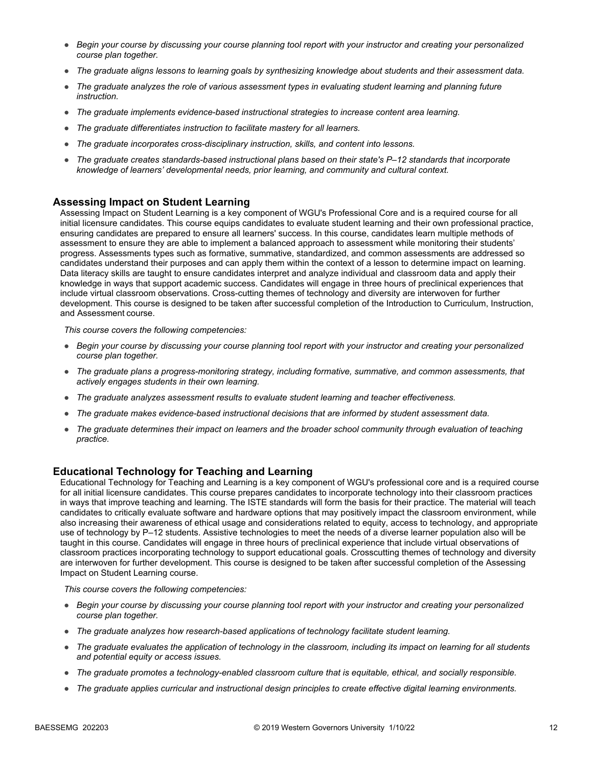- *Begin your course by discussing your course planning tool report with your instructor and creating your personalized course plan together.*
- *The graduate aligns lessons to learning goals by synthesizing knowledge about students and their assessment data.*
- *The graduate analyzes the role of various assessment types in evaluating student learning and planning future instruction.*
- *The graduate implements evidence-based instructional strategies to increase content area learning.*
- *The graduate differentiates instruction to facilitate mastery for all learners.*
- *The graduate incorporates cross-disciplinary instruction, skills, and content into lessons.*
- *The graduate creates standards-based instructional plans based on their state's P–12 standards that incorporate knowledge of learners' developmental needs, prior learning, and community and cultural context.*

#### **Assessing Impact on Student Learning**

Assessing Impact on Student Learning is a key component of WGU's Professional Core and is a required course for all initial licensure candidates. This course equips candidates to evaluate student learning and their own professional practice, ensuring candidates are prepared to ensure all learners' success. In this course, candidates learn multiple methods of assessment to ensure they are able to implement a balanced approach to assessment while monitoring their students' progress. Assessments types such as formative, summative, standardized, and common assessments are addressed so candidates understand their purposes and can apply them within the context of a lesson to determine impact on learning. Data literacy skills are taught to ensure candidates interpret and analyze individual and classroom data and apply their knowledge in ways that support academic success. Candidates will engage in three hours of preclinical experiences that include virtual classroom observations. Cross-cutting themes of technology and diversity are interwoven for further development. This course is designed to be taken after successful completion of the Introduction to Curriculum, Instruction, and Assessment course.

*This course covers the following competencies:*

- *Begin your course by discussing your course planning tool report with your instructor and creating your personalized course plan together.*
- *The graduate plans a progress-monitoring strategy, including formative, summative, and common assessments, that actively engages students in their own learning.*
- *The graduate analyzes assessment results to evaluate student learning and teacher effectiveness.*
- *The graduate makes evidence-based instructional decisions that are informed by student assessment data.*
- *The graduate determines their impact on learners and the broader school community through evaluation of teaching practice.*

### **Educational Technology for Teaching and Learning**

Educational Technology for Teaching and Learning is a key component of WGU's professional core and is a required course for all initial licensure candidates. This course prepares candidates to incorporate technology into their classroom practices in ways that improve teaching and learning. The ISTE standards will form the basis for their practice. The material will teach candidates to critically evaluate software and hardware options that may positively impact the classroom environment, while also increasing their awareness of ethical usage and considerations related to equity, access to technology, and appropriate use of technology by P–12 students. Assistive technologies to meet the needs of a diverse learner population also will be taught in this course. Candidates will engage in three hours of preclinical experience that include virtual observations of classroom practices incorporating technology to support educational goals. Crosscutting themes of technology and diversity are interwoven for further development. This course is designed to be taken after successful completion of the Assessing Impact on Student Learning course.

- *Begin your course by discussing your course planning tool report with your instructor and creating your personalized course plan together.*
- *The graduate analyzes how research-based applications of technology facilitate student learning.*
- *The graduate evaluates the application of technology in the classroom, including its impact on learning for all students and potential equity or access issues.*
- *The graduate promotes a technology-enabled classroom culture that is equitable, ethical, and socially responsible.*
- *The graduate applies curricular and instructional design principles to create effective digital learning environments.*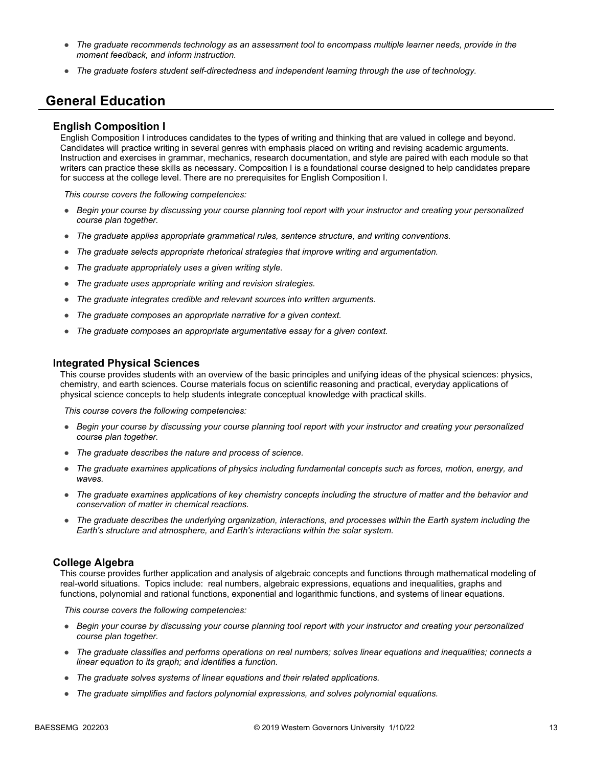- *The graduate recommends technology as an assessment tool to encompass multiple learner needs, provide in the moment feedback, and inform instruction.*
- *The graduate fosters student self-directedness and independent learning through the use of technology.*

### **General Education**

#### **English Composition I**

English Composition I introduces candidates to the types of writing and thinking that are valued in college and beyond. Candidates will practice writing in several genres with emphasis placed on writing and revising academic arguments. Instruction and exercises in grammar, mechanics, research documentation, and style are paired with each module so that writers can practice these skills as necessary. Composition I is a foundational course designed to help candidates prepare for success at the college level. There are no prerequisites for English Composition I.

*This course covers the following competencies:*

- *Begin your course by discussing your course planning tool report with your instructor and creating your personalized course plan together.*
- *The graduate applies appropriate grammatical rules, sentence structure, and writing conventions.*
- *The graduate selects appropriate rhetorical strategies that improve writing and argumentation.*
- *The graduate appropriately uses a given writing style.*
- *The graduate uses appropriate writing and revision strategies.*
- *The graduate integrates credible and relevant sources into written arguments.*
- *The graduate composes an appropriate narrative for a given context.*
- *The graduate composes an appropriate argumentative essay for a given context.*

#### **Integrated Physical Sciences**

This course provides students with an overview of the basic principles and unifying ideas of the physical sciences: physics, chemistry, and earth sciences. Course materials focus on scientific reasoning and practical, everyday applications of physical science concepts to help students integrate conceptual knowledge with practical skills.

*This course covers the following competencies:*

- *Begin your course by discussing your course planning tool report with your instructor and creating your personalized course plan together.*
- *The graduate describes the nature and process of science.*
- *The graduate examines applications of physics including fundamental concepts such as forces, motion, energy, and waves.*
- *The graduate examines applications of key chemistry concepts including the structure of matter and the behavior and conservation of matter in chemical reactions.*
- *The graduate describes the underlying organization, interactions, and processes within the Earth system including the Earth's structure and atmosphere, and Earth's interactions within the solar system.*

#### **College Algebra**

This course provides further application and analysis of algebraic concepts and functions through mathematical modeling of real-world situations. Topics include: real numbers, algebraic expressions, equations and inequalities, graphs and functions, polynomial and rational functions, exponential and logarithmic functions, and systems of linear equations.

- *Begin your course by discussing your course planning tool report with your instructor and creating your personalized course plan together.*
- *The graduate classifies and performs operations on real numbers; solves linear equations and inequalities; connects a linear equation to its graph; and identifies a function.*
- *The graduate solves systems of linear equations and their related applications.*
- *The graduate simplifies and factors polynomial expressions, and solves polynomial equations.*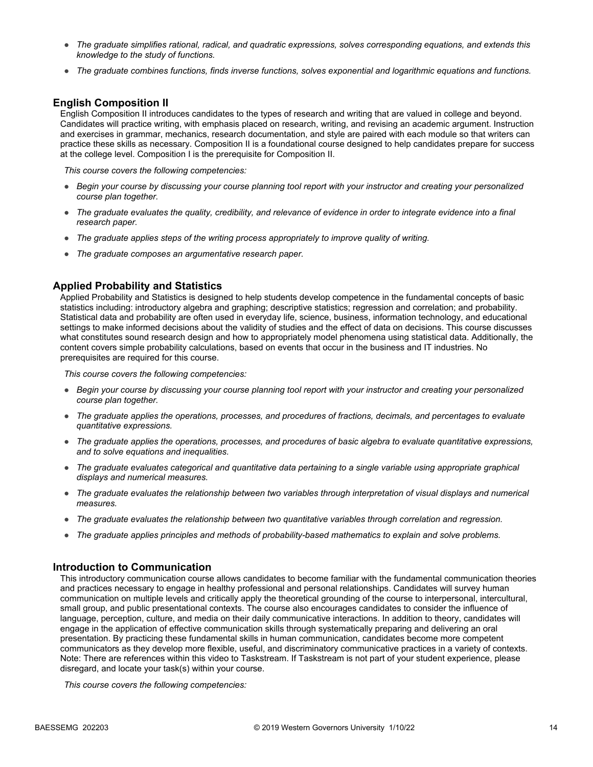- *The graduate simplifies rational, radical, and quadratic expressions, solves corresponding equations, and extends this knowledge to the study of functions.*
- *The graduate combines functions, finds inverse functions, solves exponential and logarithmic equations and functions.*

#### **English Composition II**

English Composition II introduces candidates to the types of research and writing that are valued in college and beyond. Candidates will practice writing, with emphasis placed on research, writing, and revising an academic argument. Instruction and exercises in grammar, mechanics, research documentation, and style are paired with each module so that writers can practice these skills as necessary. Composition II is a foundational course designed to help candidates prepare for success at the college level. Composition I is the prerequisite for Composition II.

*This course covers the following competencies:*

- *Begin your course by discussing your course planning tool report with your instructor and creating your personalized course plan together.*
- *The graduate evaluates the quality, credibility, and relevance of evidence in order to integrate evidence into a final research paper.*
- *The graduate applies steps of the writing process appropriately to improve quality of writing.*
- *The graduate composes an argumentative research paper.*

#### **Applied Probability and Statistics**

Applied Probability and Statistics is designed to help students develop competence in the fundamental concepts of basic statistics including: introductory algebra and graphing; descriptive statistics; regression and correlation; and probability. Statistical data and probability are often used in everyday life, science, business, information technology, and educational settings to make informed decisions about the validity of studies and the effect of data on decisions. This course discusses what constitutes sound research design and how to appropriately model phenomena using statistical data. Additionally, the content covers simple probability calculations, based on events that occur in the business and IT industries. No prerequisites are required for this course.

*This course covers the following competencies:*

- *Begin your course by discussing your course planning tool report with your instructor and creating your personalized course plan together.*
- *The graduate applies the operations, processes, and procedures of fractions, decimals, and percentages to evaluate quantitative expressions.*
- *The graduate applies the operations, processes, and procedures of basic algebra to evaluate quantitative expressions, and to solve equations and inequalities.*
- *The graduate evaluates categorical and quantitative data pertaining to a single variable using appropriate graphical displays and numerical measures.*
- *The graduate evaluates the relationship between two variables through interpretation of visual displays and numerical measures.*
- *The graduate evaluates the relationship between two quantitative variables through correlation and regression.*
- *The graduate applies principles and methods of probability-based mathematics to explain and solve problems.*

#### **Introduction to Communication**

This introductory communication course allows candidates to become familiar with the fundamental communication theories and practices necessary to engage in healthy professional and personal relationships. Candidates will survey human communication on multiple levels and critically apply the theoretical grounding of the course to interpersonal, intercultural, small group, and public presentational contexts. The course also encourages candidates to consider the influence of language, perception, culture, and media on their daily communicative interactions. In addition to theory, candidates will engage in the application of effective communication skills through systematically preparing and delivering an oral presentation. By practicing these fundamental skills in human communication, candidates become more competent communicators as they develop more flexible, useful, and discriminatory communicative practices in a variety of contexts. Note: There are references within this video to Taskstream. If Taskstream is not part of your student experience, please disregard, and locate your task(s) within your course.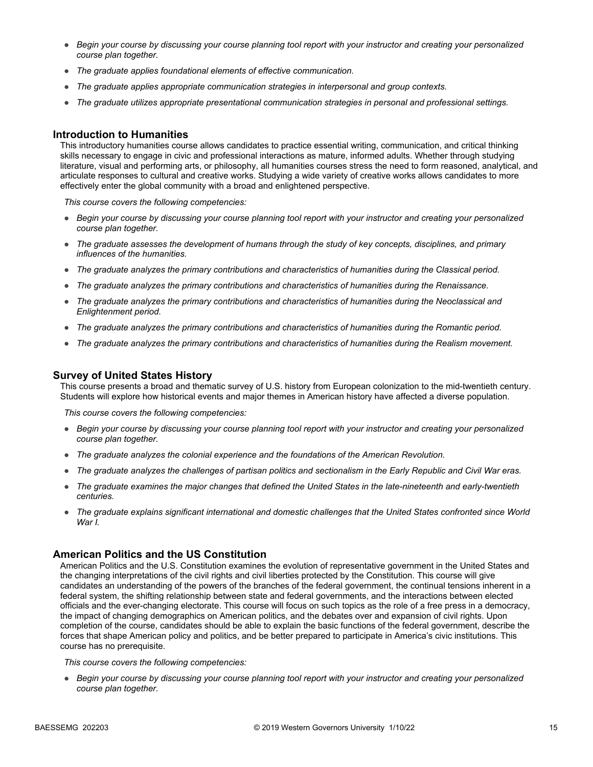- *Begin your course by discussing your course planning tool report with your instructor and creating your personalized course plan together.*
- *The graduate applies foundational elements of effective communication.*
- *The graduate applies appropriate communication strategies in interpersonal and group contexts.*
- *The graduate utilizes appropriate presentational communication strategies in personal and professional settings.*

#### **Introduction to Humanities**

This introductory humanities course allows candidates to practice essential writing, communication, and critical thinking skills necessary to engage in civic and professional interactions as mature, informed adults. Whether through studying literature, visual and performing arts, or philosophy, all humanities courses stress the need to form reasoned, analytical, and articulate responses to cultural and creative works. Studying a wide variety of creative works allows candidates to more effectively enter the global community with a broad and enlightened perspective.

*This course covers the following competencies:*

- *Begin your course by discussing your course planning tool report with your instructor and creating your personalized course plan together.*
- *The graduate assesses the development of humans through the study of key concepts, disciplines, and primary influences of the humanities.*
- *The graduate analyzes the primary contributions and characteristics of humanities during the Classical period.*
- *The graduate analyzes the primary contributions and characteristics of humanities during the Renaissance.*
- *The graduate analyzes the primary contributions and characteristics of humanities during the Neoclassical and Enlightenment period.*
- *The graduate analyzes the primary contributions and characteristics of humanities during the Romantic period.*
- *The graduate analyzes the primary contributions and characteristics of humanities during the Realism movement.*

#### **Survey of United States History**

This course presents a broad and thematic survey of U.S. history from European colonization to the mid-twentieth century. Students will explore how historical events and major themes in American history have affected a diverse population.

*This course covers the following competencies:*

- *Begin your course by discussing your course planning tool report with your instructor and creating your personalized course plan together.*
- *The graduate analyzes the colonial experience and the foundations of the American Revolution.*
- *The graduate analyzes the challenges of partisan politics and sectionalism in the Early Republic and Civil War eras.*
- *The graduate examines the major changes that defined the United States in the late-nineteenth and early-twentieth centuries.*
- *The graduate explains significant international and domestic challenges that the United States confronted since World War I.*

#### **American Politics and the US Constitution**

American Politics and the U.S. Constitution examines the evolution of representative government in the United States and the changing interpretations of the civil rights and civil liberties protected by the Constitution. This course will give candidates an understanding of the powers of the branches of the federal government, the continual tensions inherent in a federal system, the shifting relationship between state and federal governments, and the interactions between elected officials and the ever-changing electorate. This course will focus on such topics as the role of a free press in a democracy, the impact of changing demographics on American politics, and the debates over and expansion of civil rights. Upon completion of the course, candidates should be able to explain the basic functions of the federal government, describe the forces that shape American policy and politics, and be better prepared to participate in America's civic institutions. This course has no prerequisite.

*This course covers the following competencies:*

● *Begin your course by discussing your course planning tool report with your instructor and creating your personalized course plan together.*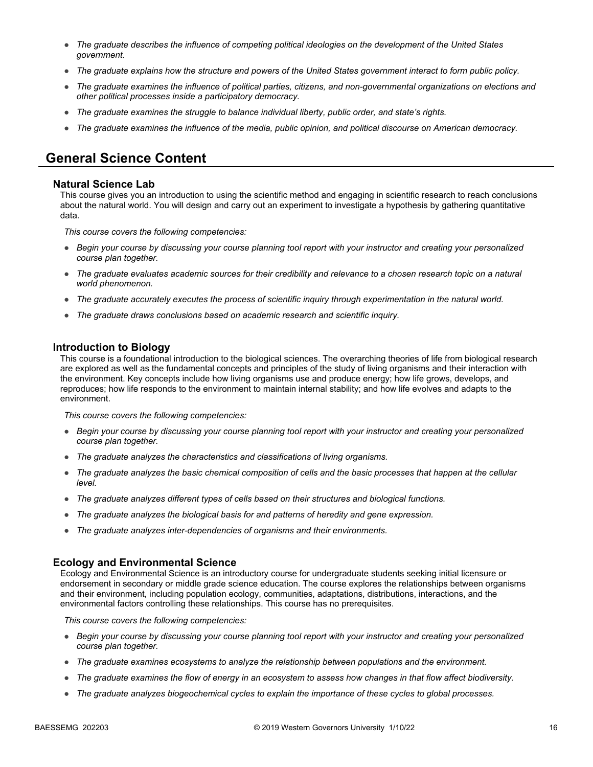- *The graduate describes the influence of competing political ideologies on the development of the United States government.*
- *The graduate explains how the structure and powers of the United States government interact to form public policy.*
- *The graduate examines the influence of political parties, citizens, and non-governmental organizations on elections and other political processes inside a participatory democracy.*
- *The graduate examines the struggle to balance individual liberty, public order, and state's rights.*
- *The graduate examines the influence of the media, public opinion, and political discourse on American democracy.*

### **General Science Content**

#### **Natural Science Lab**

This course gives you an introduction to using the scientific method and engaging in scientific research to reach conclusions about the natural world. You will design and carry out an experiment to investigate a hypothesis by gathering quantitative data.

*This course covers the following competencies:*

- *Begin your course by discussing your course planning tool report with your instructor and creating your personalized course plan together.*
- *The graduate evaluates academic sources for their credibility and relevance to a chosen research topic on a natural world phenomenon.*
- *The graduate accurately executes the process of scientific inquiry through experimentation in the natural world.*
- *The graduate draws conclusions based on academic research and scientific inquiry.*

#### **Introduction to Biology**

This course is a foundational introduction to the biological sciences. The overarching theories of life from biological research are explored as well as the fundamental concepts and principles of the study of living organisms and their interaction with the environment. Key concepts include how living organisms use and produce energy; how life grows, develops, and reproduces; how life responds to the environment to maintain internal stability; and how life evolves and adapts to the environment.

*This course covers the following competencies:*

- *Begin your course by discussing your course planning tool report with your instructor and creating your personalized course plan together.*
- *The graduate analyzes the characteristics and classifications of living organisms.*
- *The graduate analyzes the basic chemical composition of cells and the basic processes that happen at the cellular level.*
- *The graduate analyzes different types of cells based on their structures and biological functions.*
- *The graduate analyzes the biological basis for and patterns of heredity and gene expression.*
- *The graduate analyzes inter-dependencies of organisms and their environments.*

#### **Ecology and Environmental Science**

Ecology and Environmental Science is an introductory course for undergraduate students seeking initial licensure or endorsement in secondary or middle grade science education. The course explores the relationships between organisms and their environment, including population ecology, communities, adaptations, distributions, interactions, and the environmental factors controlling these relationships. This course has no prerequisites.

- *Begin your course by discussing your course planning tool report with your instructor and creating your personalized course plan together.*
- *The graduate examines ecosystems to analyze the relationship between populations and the environment.*
- *The graduate examines the flow of energy in an ecosystem to assess how changes in that flow affect biodiversity.*
- *The graduate analyzes biogeochemical cycles to explain the importance of these cycles to global processes.*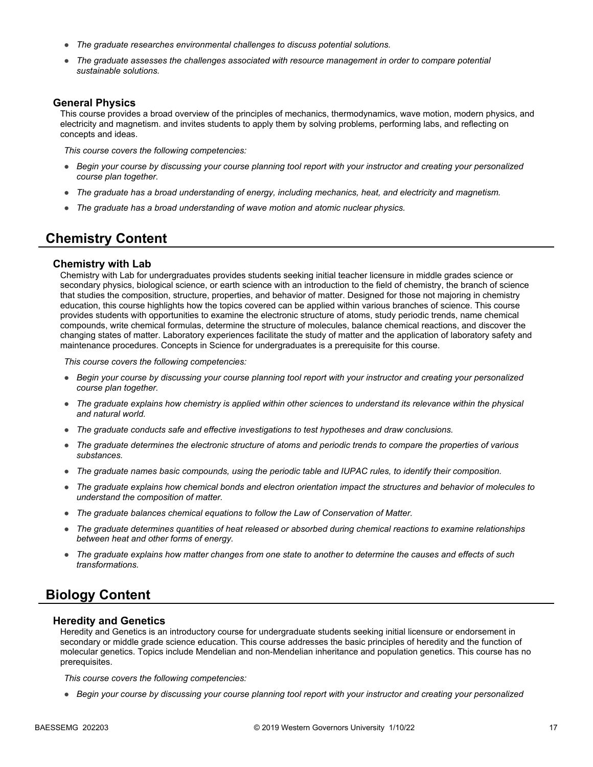- *The graduate researches environmental challenges to discuss potential solutions.*
- *The graduate assesses the challenges associated with resource management in order to compare potential sustainable solutions.*

#### **General Physics**

This course provides a broad overview of the principles of mechanics, thermodynamics, wave motion, modern physics, and electricity and magnetism. and invites students to apply them by solving problems, performing labs, and reflecting on concepts and ideas.

*This course covers the following competencies:*

- *Begin your course by discussing your course planning tool report with your instructor and creating your personalized course plan together.*
- *The graduate has a broad understanding of energy, including mechanics, heat, and electricity and magnetism.*
- *The graduate has a broad understanding of wave motion and atomic nuclear physics.*

## **Chemistry Content**

#### **Chemistry with Lab**

Chemistry with Lab for undergraduates provides students seeking initial teacher licensure in middle grades science or secondary physics, biological science, or earth science with an introduction to the field of chemistry, the branch of science that studies the composition, structure, properties, and behavior of matter. Designed for those not majoring in chemistry education, this course highlights how the topics covered can be applied within various branches of science. This course provides students with opportunities to examine the electronic structure of atoms, study periodic trends, name chemical compounds, write chemical formulas, determine the structure of molecules, balance chemical reactions, and discover the changing states of matter. Laboratory experiences facilitate the study of matter and the application of laboratory safety and maintenance procedures. Concepts in Science for undergraduates is a prerequisite for this course.

*This course covers the following competencies:*

- *Begin your course by discussing your course planning tool report with your instructor and creating your personalized course plan together.*
- *The graduate explains how chemistry is applied within other sciences to understand its relevance within the physical and natural world.*
- *The graduate conducts safe and effective investigations to test hypotheses and draw conclusions.*
- *The graduate determines the electronic structure of atoms and periodic trends to compare the properties of various substances.*
- *The graduate names basic compounds, using the periodic table and IUPAC rules, to identify their composition.*
- *The graduate explains how chemical bonds and electron orientation impact the structures and behavior of molecules to understand the composition of matter.*
- *The graduate balances chemical equations to follow the Law of Conservation of Matter.*
- *The graduate determines quantities of heat released or absorbed during chemical reactions to examine relationships between heat and other forms of energy.*
- *The graduate explains how matter changes from one state to another to determine the causes and effects of such transformations.*

### **Biology Content**

#### **Heredity and Genetics**

Heredity and Genetics is an introductory course for undergraduate students seeking initial licensure or endorsement in secondary or middle grade science education. This course addresses the basic principles of heredity and the function of molecular genetics. Topics include Mendelian and non-Mendelian inheritance and population genetics. This course has no prerequisites.

*This course covers the following competencies:*

● *Begin your course by discussing your course planning tool report with your instructor and creating your personalized*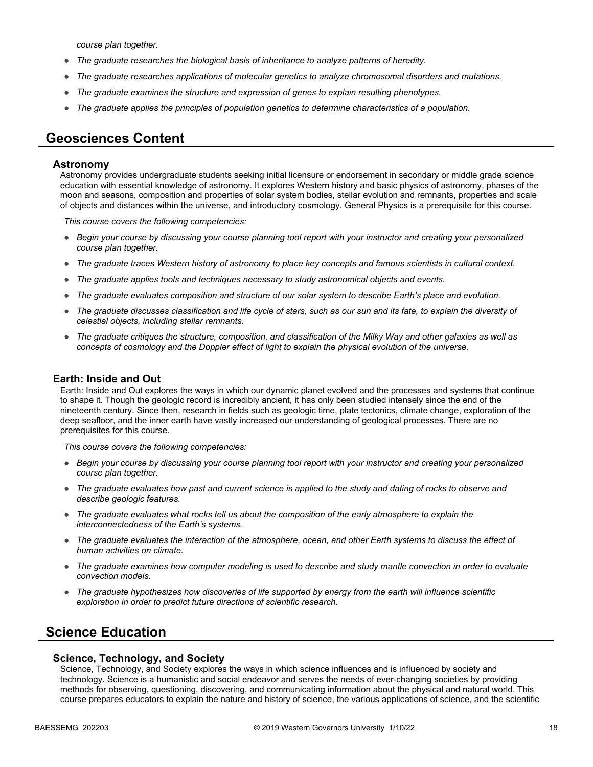*course plan together.*

- *The graduate researches the biological basis of inheritance to analyze patterns of heredity.*
- *The graduate researches applications of molecular genetics to analyze chromosomal disorders and mutations.*
- *The graduate examines the structure and expression of genes to explain resulting phenotypes.*
- *The graduate applies the principles of population genetics to determine characteristics of a population.*

### **Geosciences Content**

#### **Astronomy**

Astronomy provides undergraduate students seeking initial licensure or endorsement in secondary or middle grade science education with essential knowledge of astronomy. It explores Western history and basic physics of astronomy, phases of the moon and seasons, composition and properties of solar system bodies, stellar evolution and remnants, properties and scale of objects and distances within the universe, and introductory cosmology. General Physics is a prerequisite for this course.

*This course covers the following competencies:*

- *Begin your course by discussing your course planning tool report with your instructor and creating your personalized course plan together.*
- *The graduate traces Western history of astronomy to place key concepts and famous scientists in cultural context.*
- *The graduate applies tools and techniques necessary to study astronomical objects and events.*
- *The graduate evaluates composition and structure of our solar system to describe Earth's place and evolution.*
- *The graduate discusses classification and life cycle of stars, such as our sun and its fate, to explain the diversity of celestial objects, including stellar remnants.*
- *The graduate critiques the structure, composition, and classification of the Milky Way and other galaxies as well as concepts of cosmology and the Doppler effect of light to explain the physical evolution of the universe.*

#### **Earth: Inside and Out**

Earth: Inside and Out explores the ways in which our dynamic planet evolved and the processes and systems that continue to shape it. Though the geologic record is incredibly ancient, it has only been studied intensely since the end of the nineteenth century. Since then, research in fields such as geologic time, plate tectonics, climate change, exploration of the deep seafloor, and the inner earth have vastly increased our understanding of geological processes. There are no prerequisites for this course.

*This course covers the following competencies:*

- *Begin your course by discussing your course planning tool report with your instructor and creating your personalized course plan together.*
- *The graduate evaluates how past and current science is applied to the study and dating of rocks to observe and describe geologic features.*
- *The graduate evaluates what rocks tell us about the composition of the early atmosphere to explain the interconnectedness of the Earth's systems.*
- *The graduate evaluates the interaction of the atmosphere, ocean, and other Earth systems to discuss the effect of human activities on climate.*
- *The graduate examines how computer modeling is used to describe and study mantle convection in order to evaluate convection models.*
- *The graduate hypothesizes how discoveries of life supported by energy from the earth will influence scientific exploration in order to predict future directions of scientific research.*

## **Science Education**

#### **Science, Technology, and Society**

Science, Technology, and Society explores the ways in which science influences and is influenced by society and technology. Science is a humanistic and social endeavor and serves the needs of ever-changing societies by providing methods for observing, questioning, discovering, and communicating information about the physical and natural world. This course prepares educators to explain the nature and history of science, the various applications of science, and the scientific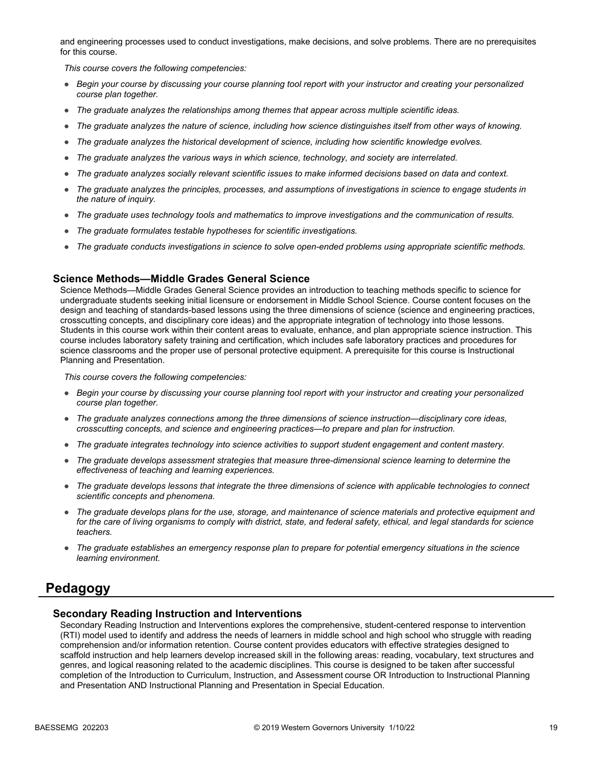and engineering processes used to conduct investigations, make decisions, and solve problems. There are no prerequisites for this course.

*This course covers the following competencies:*

- *Begin your course by discussing your course planning tool report with your instructor and creating your personalized course plan together.*
- *The graduate analyzes the relationships among themes that appear across multiple scientific ideas.*
- *The graduate analyzes the nature of science, including how science distinguishes itself from other ways of knowing.*
- *The graduate analyzes the historical development of science, including how scientific knowledge evolves.*
- *The graduate analyzes the various ways in which science, technology, and society are interrelated.*
- *The graduate analyzes socially relevant scientific issues to make informed decisions based on data and context.*
- *The graduate analyzes the principles, processes, and assumptions of investigations in science to engage students in the nature of inquiry.*
- *The graduate uses technology tools and mathematics to improve investigations and the communication of results.*
- *The graduate formulates testable hypotheses for scientific investigations.*
- *The graduate conducts investigations in science to solve open-ended problems using appropriate scientific methods.*

#### **Science Methods—Middle Grades General Science**

Science Methods—Middle Grades General Science provides an introduction to teaching methods specific to science for undergraduate students seeking initial licensure or endorsement in Middle School Science. Course content focuses on the design and teaching of standards-based lessons using the three dimensions of science (science and engineering practices, crosscutting concepts, and disciplinary core ideas) and the appropriate integration of technology into those lessons. Students in this course work within their content areas to evaluate, enhance, and plan appropriate science instruction. This course includes laboratory safety training and certification, which includes safe laboratory practices and procedures for science classrooms and the proper use of personal protective equipment. A prerequisite for this course is Instructional Planning and Presentation.

*This course covers the following competencies:*

- *Begin your course by discussing your course planning tool report with your instructor and creating your personalized course plan together.*
- *The graduate analyzes connections among the three dimensions of science instruction—disciplinary core ideas, crosscutting concepts, and science and engineering practices—to prepare and plan for instruction.*
- *The graduate integrates technology into science activities to support student engagement and content mastery.*
- *The graduate develops assessment strategies that measure three-dimensional science learning to determine the effectiveness of teaching and learning experiences.*
- *The graduate develops lessons that integrate the three dimensions of science with applicable technologies to connect scientific concepts and phenomena.*
- *The graduate develops plans for the use, storage, and maintenance of science materials and protective equipment and for the care of living organisms to comply with district, state, and federal safety, ethical, and legal standards for science teachers.*
- *The graduate establishes an emergency response plan to prepare for potential emergency situations in the science learning environment.*

### **Pedagogy**

#### **Secondary Reading Instruction and Interventions**

Secondary Reading Instruction and Interventions explores the comprehensive, student-centered response to intervention (RTI) model used to identify and address the needs of learners in middle school and high school who struggle with reading comprehension and/or information retention. Course content provides educators with effective strategies designed to scaffold instruction and help learners develop increased skill in the following areas: reading, vocabulary, text structures and genres, and logical reasoning related to the academic disciplines. This course is designed to be taken after successful completion of the Introduction to Curriculum, Instruction, and Assessment course OR Introduction to Instructional Planning and Presentation AND Instructional Planning and Presentation in Special Education.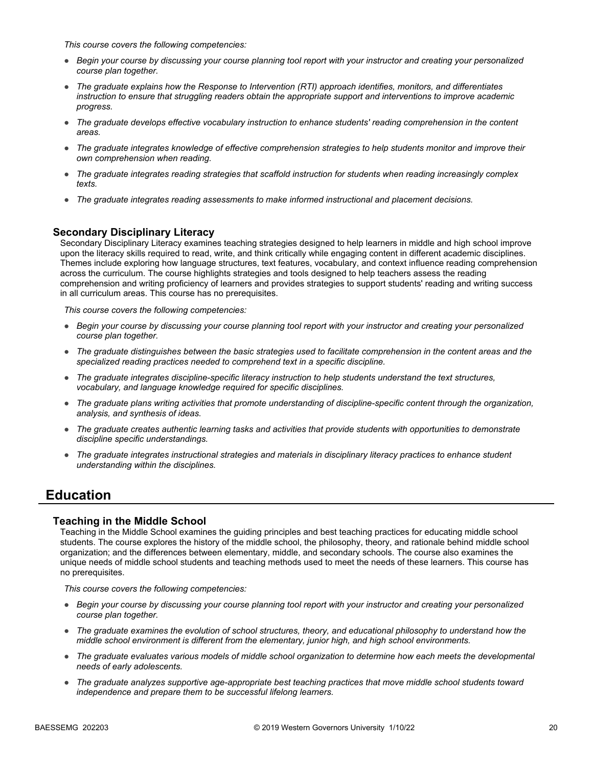*This course covers the following competencies:*

- *Begin your course by discussing your course planning tool report with your instructor and creating your personalized course plan together.*
- *The graduate explains how the Response to Intervention (RTI) approach identifies, monitors, and differentiates instruction to ensure that struggling readers obtain the appropriate support and interventions to improve academic progress.*
- *The graduate develops effective vocabulary instruction to enhance students' reading comprehension in the content areas.*
- *The graduate integrates knowledge of effective comprehension strategies to help students monitor and improve their own comprehension when reading.*
- *The graduate integrates reading strategies that scaffold instruction for students when reading increasingly complex texts.*
- *The graduate integrates reading assessments to make informed instructional and placement decisions.*

### **Secondary Disciplinary Literacy**

Secondary Disciplinary Literacy examines teaching strategies designed to help learners in middle and high school improve upon the literacy skills required to read, write, and think critically while engaging content in different academic disciplines. Themes include exploring how language structures, text features, vocabulary, and context influence reading comprehension across the curriculum. The course highlights strategies and tools designed to help teachers assess the reading comprehension and writing proficiency of learners and provides strategies to support students' reading and writing success in all curriculum areas. This course has no prerequisites.

*This course covers the following competencies:*

- *Begin your course by discussing your course planning tool report with your instructor and creating your personalized course plan together.*
- *The graduate distinguishes between the basic strategies used to facilitate comprehension in the content areas and the specialized reading practices needed to comprehend text in a specific discipline.*
- *The graduate integrates discipline-specific literacy instruction to help students understand the text structures, vocabulary, and language knowledge required for specific disciplines.*
- *The graduate plans writing activities that promote understanding of discipline-specific content through the organization, analysis, and synthesis of ideas.*
- *The graduate creates authentic learning tasks and activities that provide students with opportunities to demonstrate discipline specific understandings.*
- *The graduate integrates instructional strategies and materials in disciplinary literacy practices to enhance student understanding within the disciplines.*

## **Education**

#### **Teaching in the Middle School**

Teaching in the Middle School examines the guiding principles and best teaching practices for educating middle school students. The course explores the history of the middle school, the philosophy, theory, and rationale behind middle school organization; and the differences between elementary, middle, and secondary schools. The course also examines the unique needs of middle school students and teaching methods used to meet the needs of these learners. This course has no prerequisites.

- *Begin your course by discussing your course planning tool report with your instructor and creating your personalized course plan together.*
- *The graduate examines the evolution of school structures, theory, and educational philosophy to understand how the middle school environment is different from the elementary, junior high, and high school environments.*
- *The graduate evaluates various models of middle school organization to determine how each meets the developmental needs of early adolescents.*
- *The graduate analyzes supportive age-appropriate best teaching practices that move middle school students toward independence and prepare them to be successful lifelong learners.*